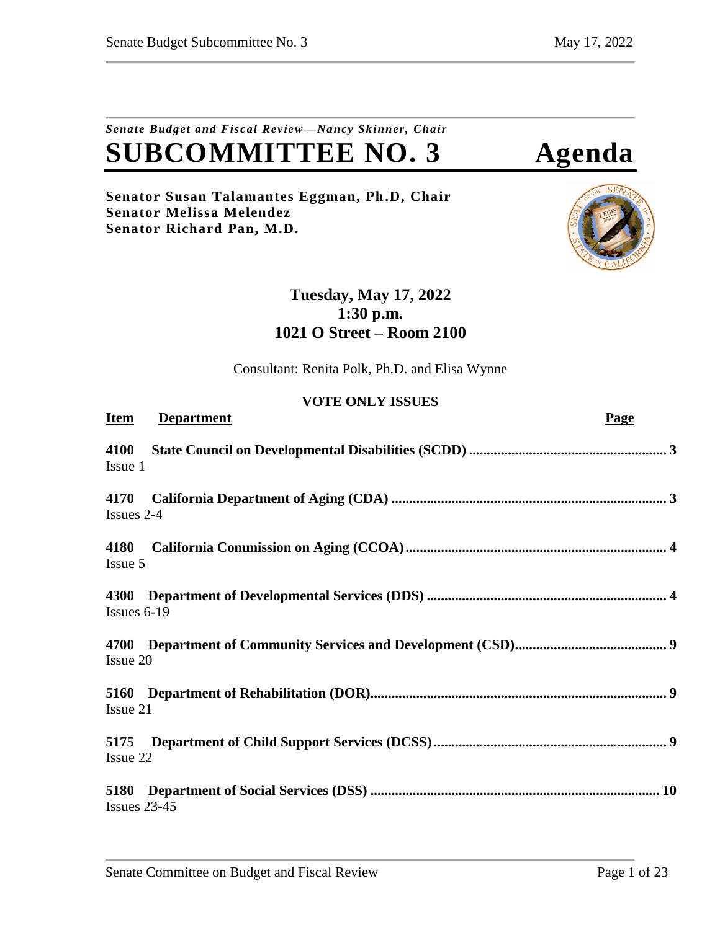# *Senate Budget and Fiscal Review—Nancy Skinner, Chair* **SUBCOMMITTEE NO. 3 Agenda**

**Senator Susan Talamantes Eggman, Ph.D, Chair Senator Melissa Melendez Senator Richard Pan, M.D.**



# **Tuesday, May 17, 2022 1:30 p.m. 1021 O Street – Room 2100**

Consultant: Renita Polk, Ph.D. and Elisa Wynne

# **VOTE ONLY ISSUES**

| <b>Item</b>             | <b>Department</b> | Page |
|-------------------------|-------------------|------|
| 4100<br>Issue 1         |                   |      |
| 4170<br>Issues 2-4      |                   |      |
| 4180<br>Issue 5         |                   |      |
| 4300<br>Issues $6-19$   |                   |      |
| Issue 20                |                   |      |
| <b>5160</b><br>Issue 21 |                   |      |
| 5175<br>Issue 22        |                   |      |
| Issues $23-45$          |                   |      |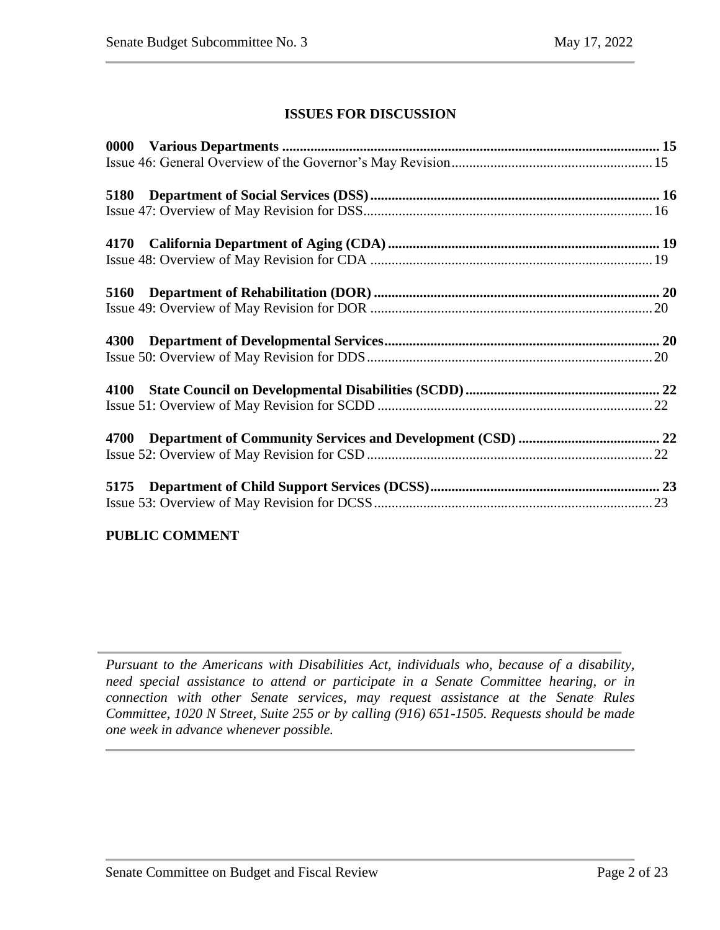# **ISSUES FOR DISCUSSION**

# **PUBLIC COMMENT**

*Pursuant to the Americans with Disabilities Act, individuals who, because of a disability, need special assistance to attend or participate in a Senate Committee hearing, or in connection with other Senate services, may request assistance at the Senate Rules Committee, 1020 N Street, Suite 255 or by calling (916) 651-1505. Requests should be made one week in advance whenever possible.*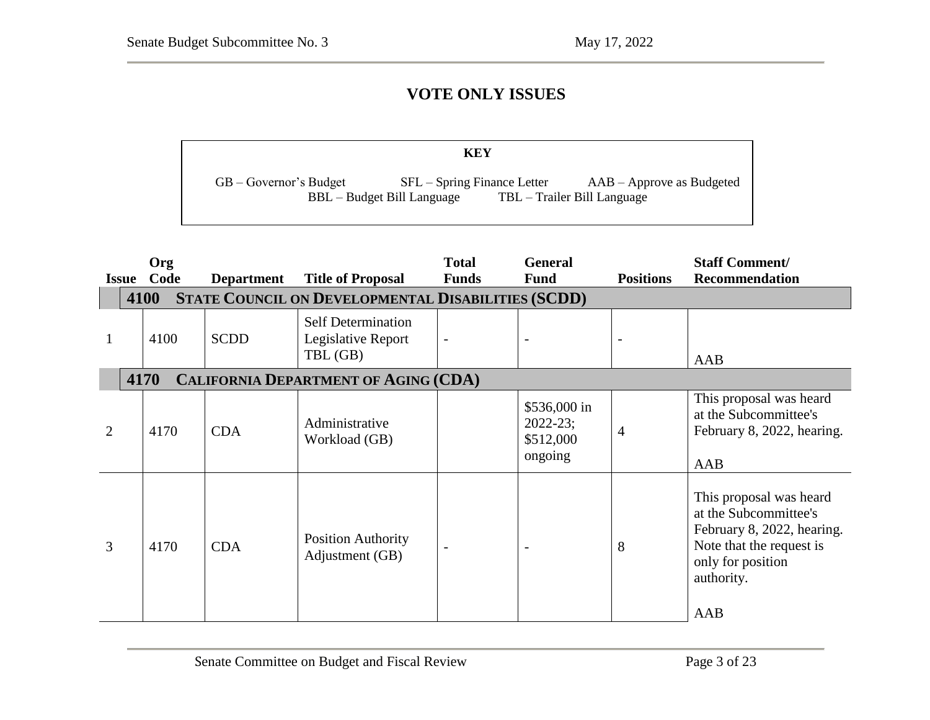# **VOTE ONLY ISSUES**

|                            | KEY                                                         |                                                            |
|----------------------------|-------------------------------------------------------------|------------------------------------------------------------|
| $GB - Government's Budget$ | $SFL - Spring Finance Letter$<br>BBL – Budget Bill Language | $AAB - Approve$ as Budgeted<br>TBL – Trailer Bill Language |

 $\overline{\phantom{a}}$  – Governor's Budget SFL – Spring Finance Letter May Revision  $\overline{\phantom{a}}$ 

<span id="page-2-1"></span><span id="page-2-0"></span>

| <b>Issue</b>   | Org<br>Code                                         | <b>Department</b> | <b>Title of Proposal</b>                                    | <b>Total</b><br><b>Funds</b> | <b>General</b><br><b>Fund</b>                        | <b>Positions</b> | <b>Staff Comment/</b><br><b>Recommendation</b>                                                                                                       |  |  |  |
|----------------|-----------------------------------------------------|-------------------|-------------------------------------------------------------|------------------------------|------------------------------------------------------|------------------|------------------------------------------------------------------------------------------------------------------------------------------------------|--|--|--|
|                | 4100                                                |                   | <b>STATE COUNCIL ON DEVELOPMENTAL DISABILITIES (SCDD)</b>   |                              |                                                      |                  |                                                                                                                                                      |  |  |  |
|                | 4100                                                | <b>SCDD</b>       | <b>Self Determination</b><br>Legislative Report<br>TBL (GB) | $\overline{\phantom{0}}$     |                                                      |                  | AAB                                                                                                                                                  |  |  |  |
|                | 4170<br><b>CALIFORNIA DEPARTMENT OF AGING (CDA)</b> |                   |                                                             |                              |                                                      |                  |                                                                                                                                                      |  |  |  |
| $\overline{2}$ | 4170                                                | <b>CDA</b>        | Administrative<br>Workload (GB)                             |                              | \$536,000 in<br>$2022 - 23;$<br>\$512,000<br>ongoing | 4                | This proposal was heard<br>at the Subcommittee's<br>February 8, 2022, hearing.<br>AAB                                                                |  |  |  |
| 3              | 4170                                                | <b>CDA</b>        | <b>Position Authority</b><br>Adjustment (GB)                |                              |                                                      | 8                | This proposal was heard<br>at the Subcommittee's<br>February 8, 2022, hearing.<br>Note that the request is<br>only for position<br>authority.<br>AAB |  |  |  |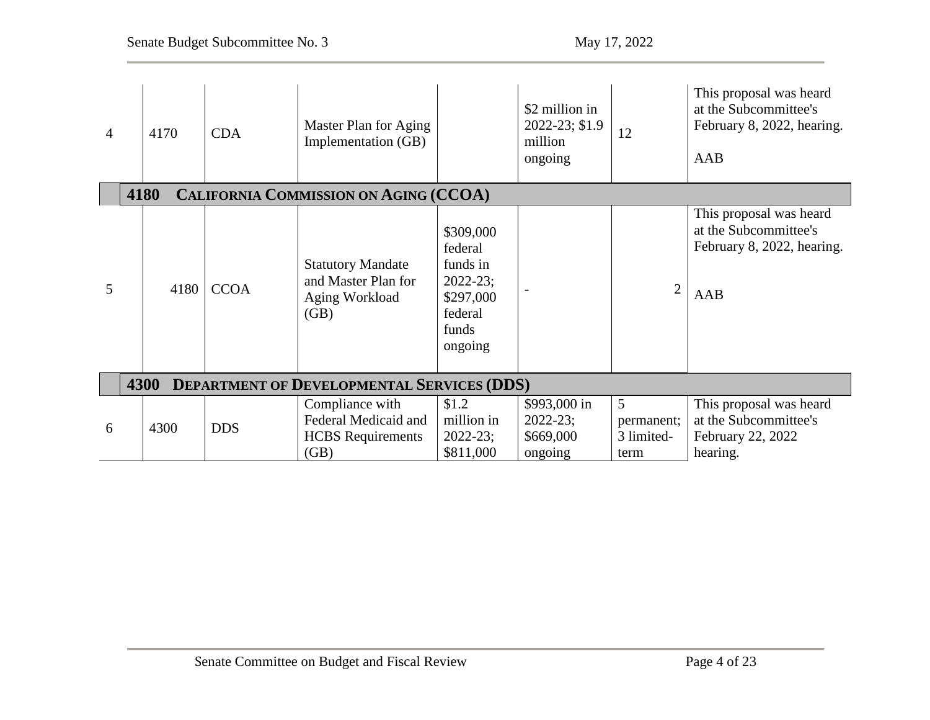<span id="page-3-1"></span><span id="page-3-0"></span>

| $\overline{4}$ |                                                      | 4170 | <b>CDA</b>  | Master Plan for Aging<br>Implementation (GB)                                |                                                                                              | \$2 million in<br>2022-23; \$1.9<br>million<br>ongoing | 12                                    | This proposal was heard<br>at the Subcommittee's<br>February 8, 2022, hearing.<br>AAB |  |  |  |
|----------------|------------------------------------------------------|------|-------------|-----------------------------------------------------------------------------|----------------------------------------------------------------------------------------------|--------------------------------------------------------|---------------------------------------|---------------------------------------------------------------------------------------|--|--|--|
|                | 4180<br><b>CALIFORNIA COMMISSION ON AGING (CCOA)</b> |      |             |                                                                             |                                                                                              |                                                        |                                       |                                                                                       |  |  |  |
| 5              |                                                      | 4180 | <b>CCOA</b> | <b>Statutory Mandate</b><br>and Master Plan for<br>Aging Workload<br>(GB)   | \$309,000<br>federal<br>funds in<br>$2022 - 23;$<br>\$297,000<br>federal<br>funds<br>ongoing |                                                        | $\overline{2}$                        | This proposal was heard<br>at the Subcommittee's<br>February 8, 2022, hearing.<br>AAB |  |  |  |
|                |                                                      | 4300 |             | <b>DEPARTMENT OF DEVELOPMENTAL SERVICES (DDS)</b>                           |                                                                                              |                                                        |                                       |                                                                                       |  |  |  |
| 6              |                                                      | 4300 | <b>DDS</b>  | Compliance with<br>Federal Medicaid and<br><b>HCBS</b> Requirements<br>(GB) | \$1.2<br>million in<br>$2022 - 23;$<br>\$811,000                                             | \$993,000 in<br>$2022 - 23;$<br>\$669,000<br>ongoing   | 5<br>permanent;<br>3 limited-<br>term | This proposal was heard<br>at the Subcommittee's<br>February 22, 2022<br>hearing.     |  |  |  |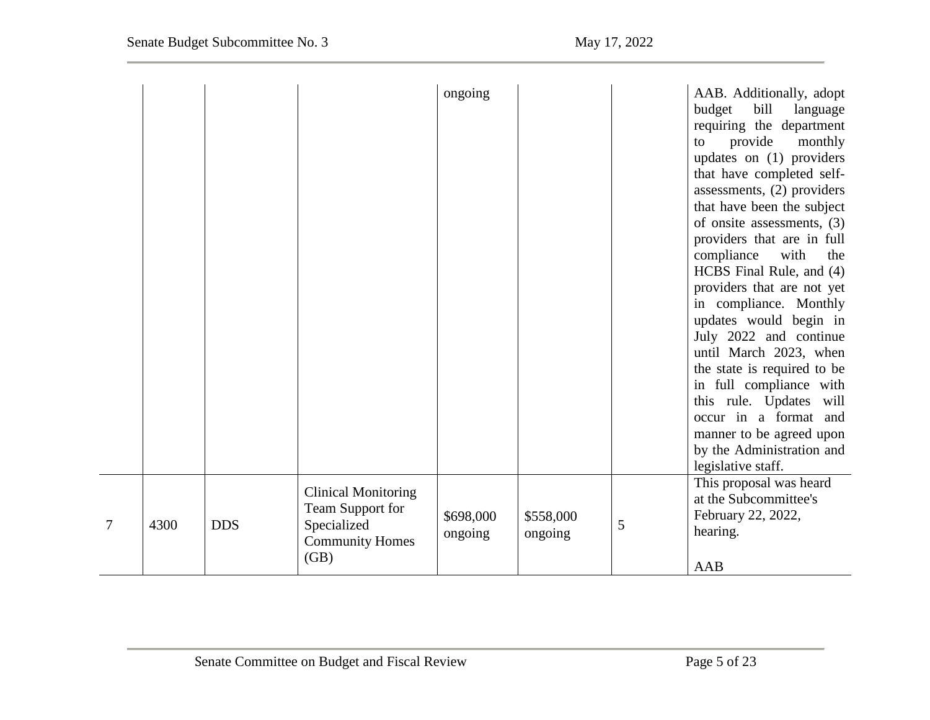|   |      |            |                                                                                                 | ongoing              |                      |   | AAB. Additionally, adopt<br>budget<br>bill<br>language<br>requiring the department<br>provide<br>monthly<br>to<br>updates on (1) providers<br>that have completed self-<br>assessments, (2) providers<br>that have been the subject<br>of onsite assessments, (3)<br>providers that are in full<br>compliance<br>with<br>the<br>HCBS Final Rule, and (4)<br>providers that are not yet<br>in compliance. Monthly<br>updates would begin in<br>July 2022 and continue<br>until March 2023, when<br>the state is required to be<br>in full compliance with<br>this rule. Updates will<br>occur in a format and<br>manner to be agreed upon<br>by the Administration and<br>legislative staff. |
|---|------|------------|-------------------------------------------------------------------------------------------------|----------------------|----------------------|---|---------------------------------------------------------------------------------------------------------------------------------------------------------------------------------------------------------------------------------------------------------------------------------------------------------------------------------------------------------------------------------------------------------------------------------------------------------------------------------------------------------------------------------------------------------------------------------------------------------------------------------------------------------------------------------------------|
| 7 | 4300 | <b>DDS</b> | <b>Clinical Monitoring</b><br>Team Support for<br>Specialized<br><b>Community Homes</b><br>(GB) | \$698,000<br>ongoing | \$558,000<br>ongoing | 5 | This proposal was heard<br>at the Subcommittee's<br>February 22, 2022,<br>hearing.<br>AAB                                                                                                                                                                                                                                                                                                                                                                                                                                                                                                                                                                                                   |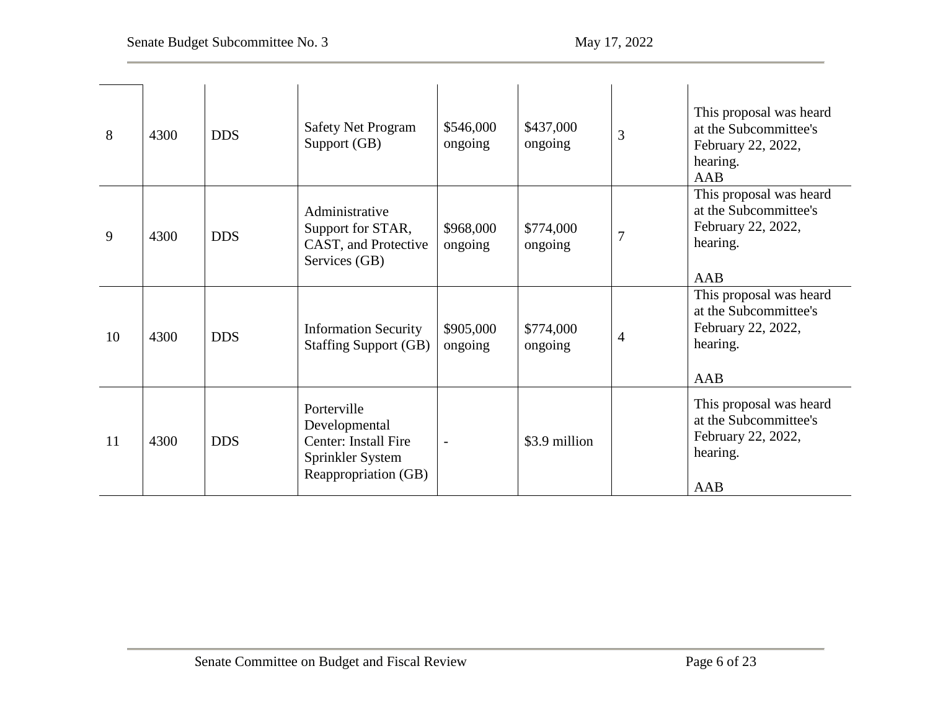| 8  | 4300 | <b>DDS</b> | <b>Safety Net Program</b><br>Support (GB)                                                        | \$546,000<br>ongoing | \$437,000<br>ongoing | 3 | This proposal was heard<br>at the Subcommittee's<br>February 22, 2022,<br>hearing.<br>AAB |
|----|------|------------|--------------------------------------------------------------------------------------------------|----------------------|----------------------|---|-------------------------------------------------------------------------------------------|
| 9  | 4300 | <b>DDS</b> | Administrative<br>Support for STAR,<br>CAST, and Protective<br>Services (GB)                     | \$968,000<br>ongoing | \$774,000<br>ongoing | 7 | This proposal was heard<br>at the Subcommittee's<br>February 22, 2022,<br>hearing.<br>AAB |
| 10 | 4300 | <b>DDS</b> | <b>Information Security</b><br><b>Staffing Support (GB)</b>                                      | \$905,000<br>ongoing | \$774,000<br>ongoing | 4 | This proposal was heard<br>at the Subcommittee's<br>February 22, 2022,<br>hearing.<br>AAB |
| 11 | 4300 | <b>DDS</b> | Porterville<br>Developmental<br>Center: Install Fire<br>Sprinkler System<br>Reappropriation (GB) | $\overline{a}$       | \$3.9 million        |   | This proposal was heard<br>at the Subcommittee's<br>February 22, 2022,<br>hearing.<br>AAB |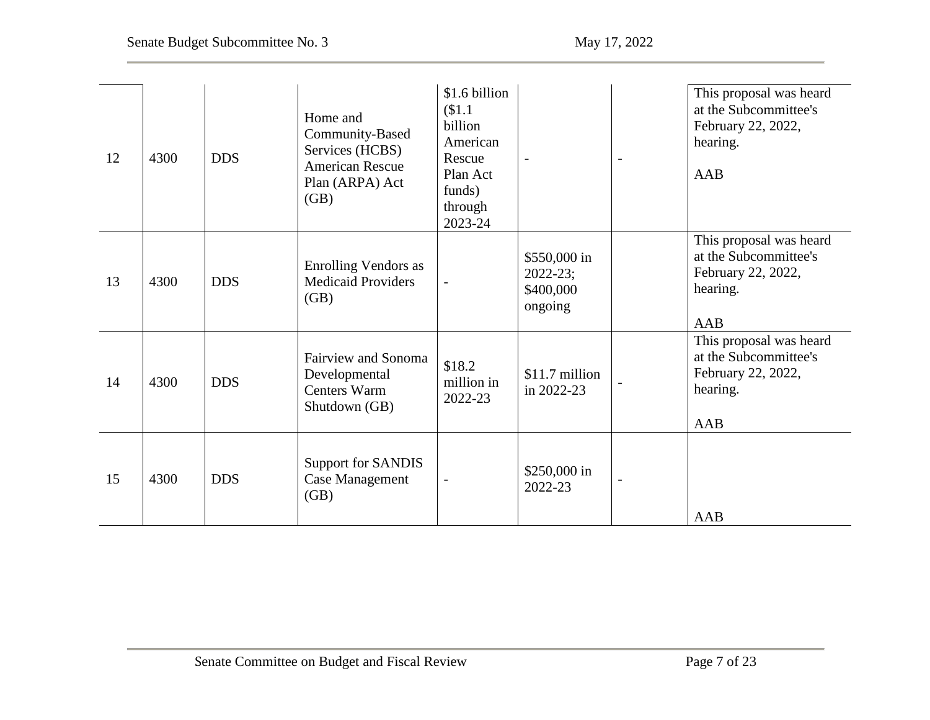| 12 | 4300 | <b>DDS</b> | Home and<br>Community-Based<br>Services (HCBS)<br><b>American Rescue</b><br>Plan (ARPA) Act<br>(GB) | \$1.6 billion<br>\$1.1<br>billion<br>American<br>Rescue<br>Plan Act<br>funds)<br>through<br>2023-24 |                                                      | $\overline{\phantom{a}}$ | This proposal was heard<br>at the Subcommittee's<br>February 22, 2022,<br>hearing.<br>AAB |
|----|------|------------|-----------------------------------------------------------------------------------------------------|-----------------------------------------------------------------------------------------------------|------------------------------------------------------|--------------------------|-------------------------------------------------------------------------------------------|
| 13 | 4300 | <b>DDS</b> | <b>Enrolling Vendors as</b><br><b>Medicaid Providers</b><br>(GB)                                    | $\overline{\phantom{a}}$                                                                            | \$550,000 in<br>$2022 - 23;$<br>\$400,000<br>ongoing |                          | This proposal was heard<br>at the Subcommittee's<br>February 22, 2022,<br>hearing.<br>AAB |
| 14 | 4300 | <b>DDS</b> | <b>Fairview and Sonoma</b><br>Developmental<br><b>Centers Warm</b><br>Shutdown (GB)                 | \$18.2<br>million in<br>2022-23                                                                     | \$11.7 million<br>in 2022-23                         |                          | This proposal was heard<br>at the Subcommittee's<br>February 22, 2022,<br>hearing.<br>AAB |
| 15 | 4300 | <b>DDS</b> | Support for SANDIS<br><b>Case Management</b><br>(GB)                                                | $\overline{\phantom{a}}$                                                                            | $$250,000$ in<br>2022-23                             | $\overline{\phantom{a}}$ | AAB                                                                                       |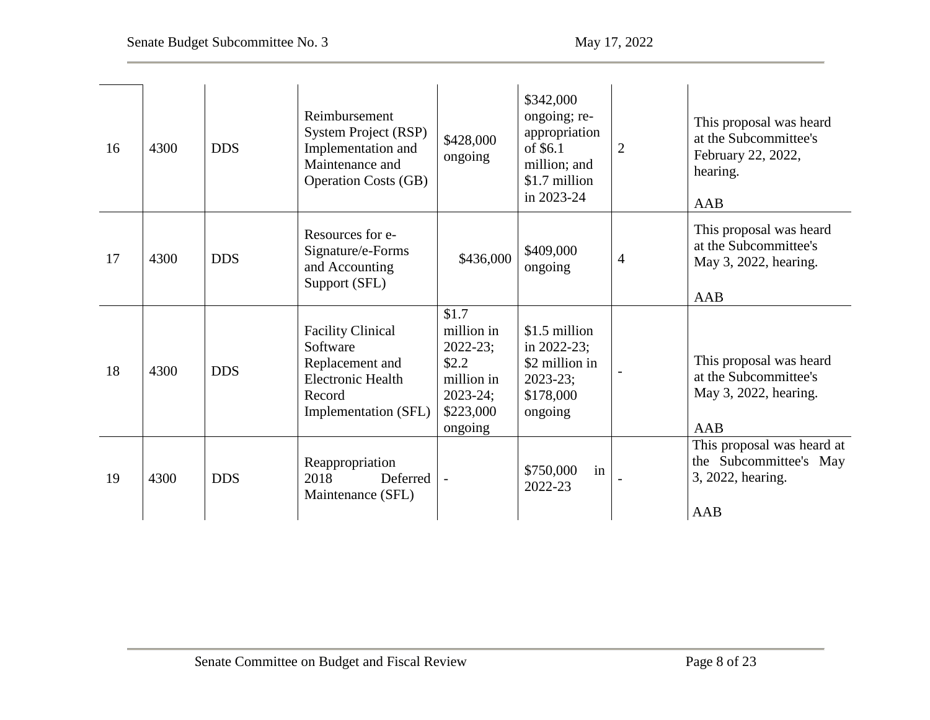| 16 | 4300 | <b>DDS</b> | Reimbursement<br>System Project (RSP)<br>Implementation and<br>Maintenance and<br><b>Operation Costs (GB)</b>         | \$428,000<br>ongoing                                                                                 | \$342,000<br>ongoing; re-<br>appropriation<br>of \$6.1<br>million; and<br>\$1.7 million<br>in 2023-24 | $\overline{2}$ | This proposal was heard<br>at the Subcommittee's<br>February 22, 2022,<br>hearing.<br>AAB |
|----|------|------------|-----------------------------------------------------------------------------------------------------------------------|------------------------------------------------------------------------------------------------------|-------------------------------------------------------------------------------------------------------|----------------|-------------------------------------------------------------------------------------------|
| 17 | 4300 | <b>DDS</b> | Resources for e-<br>Signature/e-Forms<br>and Accounting<br>Support (SFL)                                              | \$436,000                                                                                            | \$409,000<br>ongoing                                                                                  | $\overline{4}$ | This proposal was heard<br>at the Subcommittee's<br>May 3, 2022, hearing.<br>AAB          |
| 18 | 4300 | <b>DDS</b> | <b>Facility Clinical</b><br>Software<br>Replacement and<br><b>Electronic Health</b><br>Record<br>Implementation (SFL) | \$1.7<br>million in<br>$2022 - 23;$<br>\$2.2\$<br>million in<br>$2023 - 24;$<br>\$223,000<br>ongoing | \$1.5 million<br>in $2022 - 23$ ;<br>\$2 million in<br>$2023 - 23;$<br>\$178,000<br>ongoing           |                | This proposal was heard<br>at the Subcommittee's<br>May 3, 2022, hearing.<br>AAB          |
| 19 | 4300 | <b>DDS</b> | Reappropriation<br>2018<br>Deferred<br>Maintenance (SFL)                                                              |                                                                                                      | \$750,000<br>in<br>2022-23                                                                            |                | This proposal was heard at<br>the Subcommittee's May<br>3, 2022, hearing.<br>AAB          |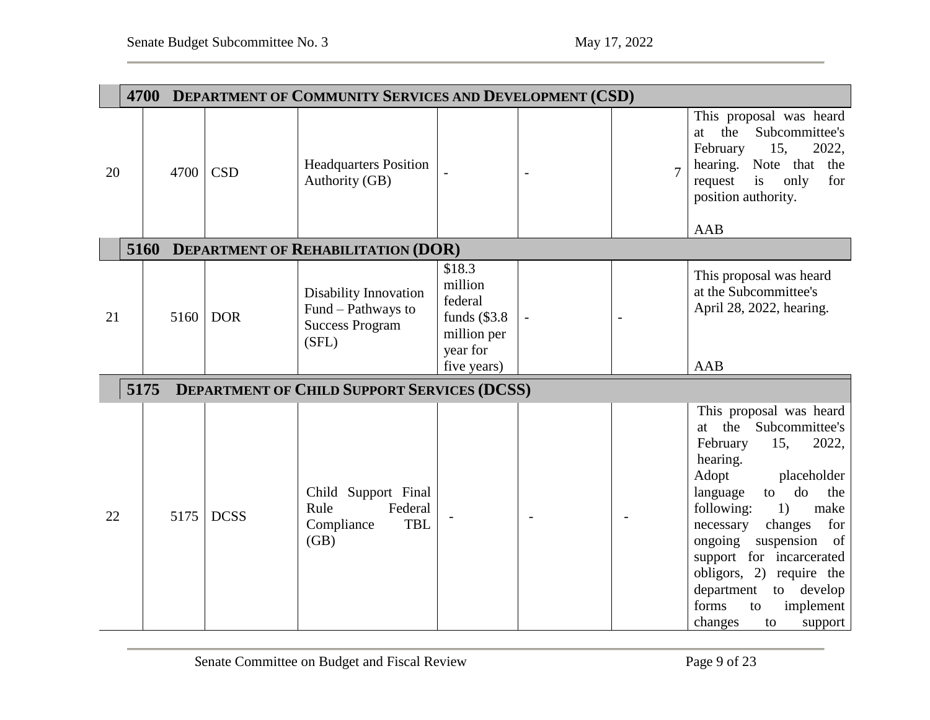<span id="page-8-2"></span><span id="page-8-1"></span><span id="page-8-0"></span>

|    |      | 4700 DEPARTMENT OF COMMUNITY SERVICES AND DEVELOPMENT (CSD) |             |                                                                                       |                                                                           |  |                |                                                                                                                                                                                                                                                                                                                                                                                       |  |
|----|------|-------------------------------------------------------------|-------------|---------------------------------------------------------------------------------------|---------------------------------------------------------------------------|--|----------------|---------------------------------------------------------------------------------------------------------------------------------------------------------------------------------------------------------------------------------------------------------------------------------------------------------------------------------------------------------------------------------------|--|
| 20 |      | 4700                                                        | <b>CSD</b>  | <b>Headquarters Position</b><br>Authority (GB)                                        |                                                                           |  | $\overline{7}$ | This proposal was heard<br>the<br>Subcommittee's<br>at<br>February<br>2022,<br>15,<br>hearing. Note that the<br>request<br>is<br>only<br>for<br>position authority.<br>AAB                                                                                                                                                                                                            |  |
|    |      |                                                             |             | 5160 DEPARTMENT OF REHABILITATION (DOR)                                               |                                                                           |  |                |                                                                                                                                                                                                                                                                                                                                                                                       |  |
| 21 |      | 5160                                                        | <b>DOR</b>  | <b>Disability Innovation</b><br>Fund – Pathways to<br><b>Success Program</b><br>(SFL) | \$18.3<br>million<br>federal<br>funds $(\$3.8$<br>million per<br>year for |  |                | This proposal was heard<br>at the Subcommittee's<br>April 28, 2022, hearing.                                                                                                                                                                                                                                                                                                          |  |
|    |      |                                                             |             |                                                                                       | five years)                                                               |  |                | <b>AAB</b>                                                                                                                                                                                                                                                                                                                                                                            |  |
|    | 5175 |                                                             |             | <b>DEPARTMENT OF CHILD SUPPORT SERVICES (DCSS)</b>                                    |                                                                           |  |                |                                                                                                                                                                                                                                                                                                                                                                                       |  |
| 22 |      | 5175                                                        | <b>DCSS</b> | Child Support Final<br>Federal<br>Rule<br><b>TBL</b><br>Compliance<br>(GB)            |                                                                           |  |                | This proposal was heard<br>at the Subcommittee's<br>2022,<br>February<br>15,<br>hearing.<br>Adopt<br>placeholder<br>do<br>language<br>the<br>to<br>1)<br>following:<br>make<br>necessary<br>changes<br>for<br>suspension<br>ongoing<br>of<br>support for incarcerated<br>obligors, 2) require the<br>department<br>to develop<br>forms<br>implement<br>to<br>changes<br>support<br>to |  |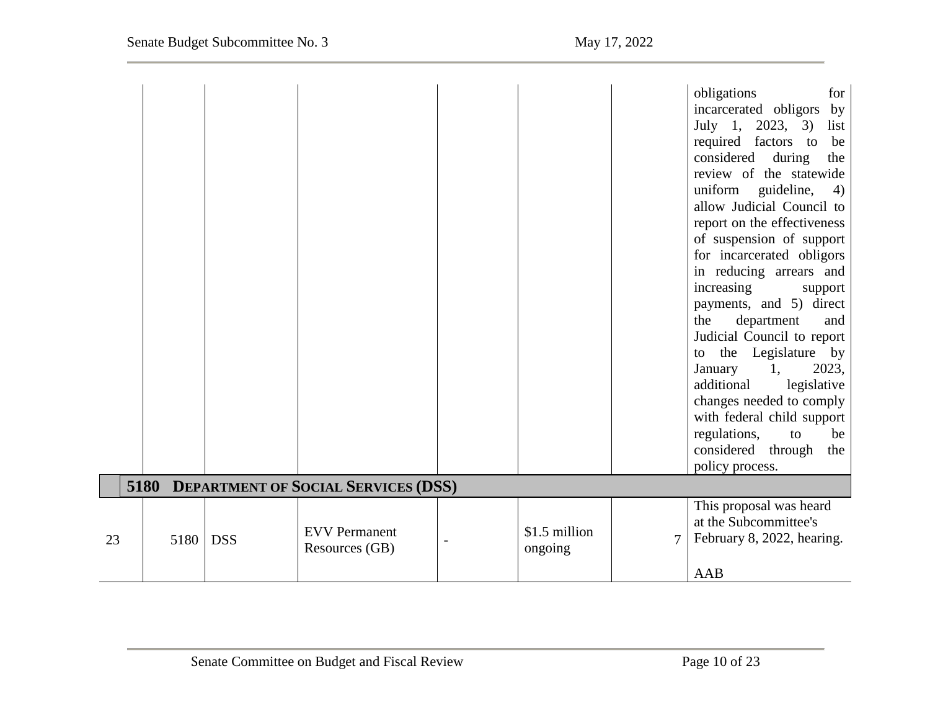<span id="page-9-0"></span>

|    |      |            |                                          |                          |   | obligations<br>for<br>incarcerated obligors<br>by<br>July 1, 2023, 3)<br>list<br>required factors to<br>be<br>considered<br>during<br>the<br>review of the statewide<br>uniform<br>guideline,<br>4)<br>allow Judicial Council to<br>report on the effectiveness<br>of suspension of support<br>for incarcerated obligors<br>in reducing arrears and<br>increasing<br>support<br>payments, and 5) direct<br>department<br>the<br>and<br>Judicial Council to report<br>the Legislature by<br>to<br>2023,<br>1,<br>January<br>additional<br>legislative<br>changes needed to comply<br>with federal child support<br>regulations,<br>to<br>be<br>considered through<br>the<br>policy process. |
|----|------|------------|------------------------------------------|--------------------------|---|--------------------------------------------------------------------------------------------------------------------------------------------------------------------------------------------------------------------------------------------------------------------------------------------------------------------------------------------------------------------------------------------------------------------------------------------------------------------------------------------------------------------------------------------------------------------------------------------------------------------------------------------------------------------------------------------|
|    |      |            | 5180 DEPARTMENT OF SOCIAL SERVICES (DSS) |                          |   |                                                                                                                                                                                                                                                                                                                                                                                                                                                                                                                                                                                                                                                                                            |
| 23 | 5180 | <b>DSS</b> | <b>EVV</b> Permanent<br>Resources (GB)   | \$1.5 million<br>ongoing | 7 | This proposal was heard<br>at the Subcommittee's<br>February 8, 2022, hearing.<br>AAB                                                                                                                                                                                                                                                                                                                                                                                                                                                                                                                                                                                                      |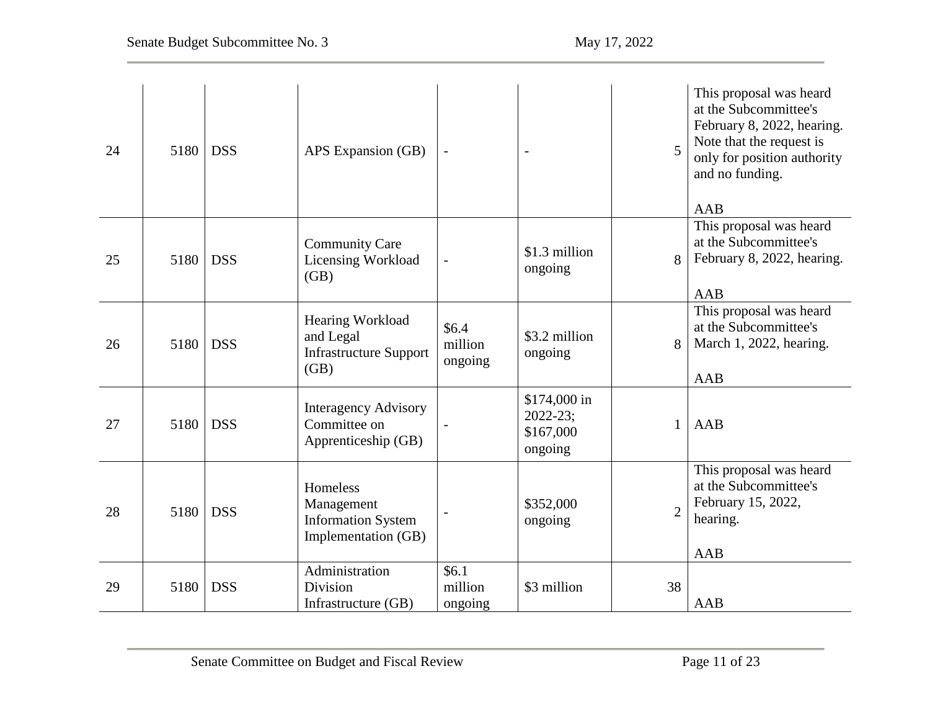| 24 | 5180 | <b>DSS</b> | APS Expansion (GB)                                                         |                             |                                                       | 5              | This proposal was heard<br>at the Subcommittee's<br>February 8, 2022, hearing.<br>Note that the request is<br>only for position authority<br>and no funding.<br>AAB |
|----|------|------------|----------------------------------------------------------------------------|-----------------------------|-------------------------------------------------------|----------------|---------------------------------------------------------------------------------------------------------------------------------------------------------------------|
| 25 | 5180 | <b>DSS</b> | <b>Community Care</b><br>Licensing Workload<br>(GB)                        | $\overline{\phantom{0}}$    | \$1.3 million<br>ongoing                              | 8              | This proposal was heard<br>at the Subcommittee's<br>February 8, 2022, hearing.<br>AAB                                                                               |
| 26 | 5180 | <b>DSS</b> | Hearing Workload<br>and Legal<br><b>Infrastructure Support</b><br>(GB)     | \$6.4<br>million<br>ongoing | \$3.2 million<br>ongoing                              | 8              | This proposal was heard<br>at the Subcommittee's<br>March 1, 2022, hearing.<br><b>AAB</b>                                                                           |
| 27 | 5180 | <b>DSS</b> | <b>Interagency Advisory</b><br>Committee on<br>Apprenticeship (GB)         |                             | \$174,000 in<br>$2022 - 23$ ;<br>\$167,000<br>ongoing | 1              | AAB                                                                                                                                                                 |
| 28 | 5180 | <b>DSS</b> | Homeless<br>Management<br><b>Information System</b><br>Implementation (GB) |                             | \$352,000<br>ongoing                                  | $\overline{2}$ | This proposal was heard<br>at the Subcommittee's<br>February 15, 2022,<br>hearing.<br><b>AAB</b>                                                                    |
| 29 | 5180 | <b>DSS</b> | Administration<br><b>Division</b><br>Infrastructure (GB)                   | \$6.1<br>million<br>ongoing | \$3 million                                           | 38             | <b>AAB</b>                                                                                                                                                          |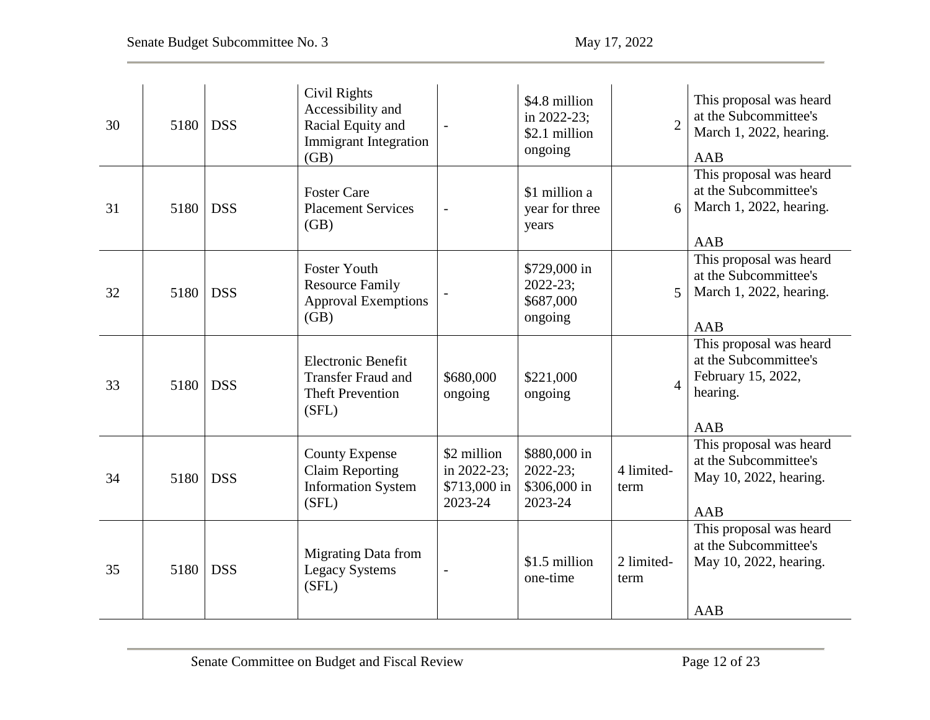| 30 | 5180 | <b>DSS</b> | Civil Rights<br>Accessibility and<br>Racial Equity and<br><b>Immigrant Integration</b><br>(GB) |                                                       | \$4.8 million<br>in 2022-23;<br>\$2.1 million<br>ongoing | $\overline{2}$     | This proposal was heard<br>at the Subcommittee's<br>March 1, 2022, hearing.<br>AAB               |
|----|------|------------|------------------------------------------------------------------------------------------------|-------------------------------------------------------|----------------------------------------------------------|--------------------|--------------------------------------------------------------------------------------------------|
| 31 | 5180 | <b>DSS</b> | <b>Foster Care</b><br><b>Placement Services</b><br>(GB)                                        | $\overline{\phantom{0}}$                              | \$1 million a<br>year for three<br>years                 | 6                  | This proposal was heard<br>at the Subcommittee's<br>March 1, 2022, hearing.<br>AAB               |
| 32 | 5180 | <b>DSS</b> | <b>Foster Youth</b><br><b>Resource Family</b><br><b>Approval Exemptions</b><br>(GB)            |                                                       | \$729,000 in<br>$2022 - 23$ ;<br>\$687,000<br>ongoing    | 5                  | This proposal was heard<br>at the Subcommittee's<br>March 1, 2022, hearing.<br>AAB               |
| 33 | 5180 | <b>DSS</b> | <b>Electronic Benefit</b><br><b>Transfer Fraud and</b><br><b>Theft Prevention</b><br>(SFL)     | \$680,000<br>ongoing                                  | \$221,000<br>ongoing                                     | 4                  | This proposal was heard<br>at the Subcommittee's<br>February 15, 2022,<br>hearing.<br><b>AAB</b> |
| 34 | 5180 | <b>DSS</b> | <b>County Expense</b><br><b>Claim Reporting</b><br><b>Information System</b><br>(SFL)          | \$2 million<br>in 2022-23;<br>\$713,000 in<br>2023-24 | \$880,000 in<br>$2022 - 23;$<br>\$306,000 in<br>2023-24  | 4 limited-<br>term | This proposal was heard<br>at the Subcommittee's<br>May 10, 2022, hearing.<br><b>AAB</b>         |
| 35 | 5180 | <b>DSS</b> | <b>Migrating Data from</b><br><b>Legacy Systems</b><br>(SFL)                                   |                                                       | \$1.5 million<br>one-time                                | 2 limited-<br>term | This proposal was heard<br>at the Subcommittee's<br>May 10, 2022, hearing.<br>AAB                |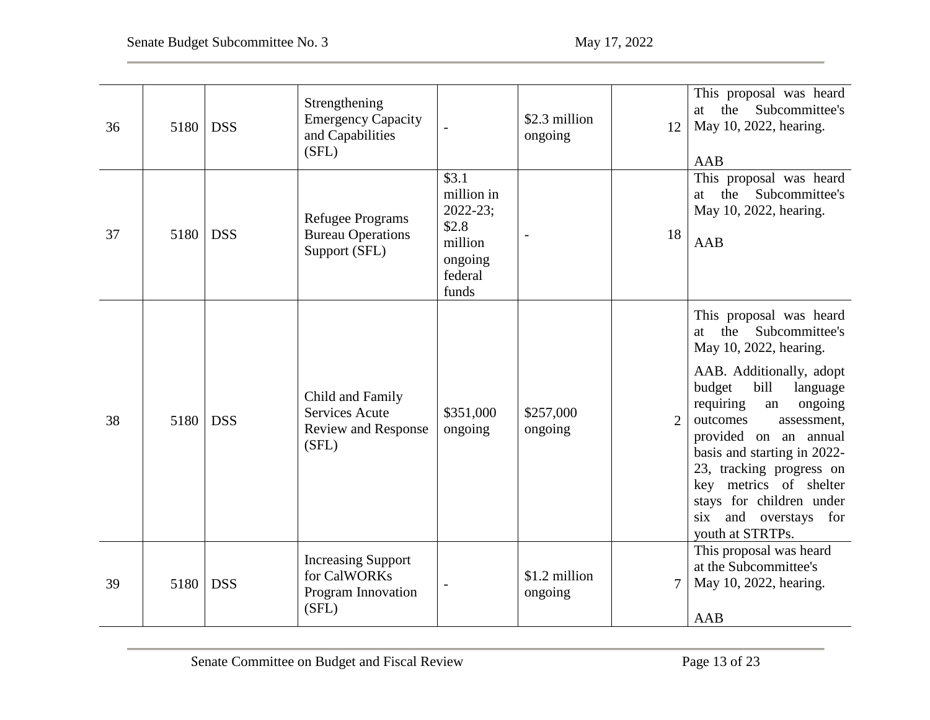| 36 | 5180 | <b>DSS</b> | Strengthening<br><b>Emergency Capacity</b><br>and Capabilities<br>(SFL)          |                                                                                                     | \$2.3 million<br>ongoing | 12             | This proposal was heard<br>the Subcommittee's<br>at<br>May 10, 2022, hearing.<br>AAB                                                                                                                                                                                                                                                                                                       |
|----|------|------------|----------------------------------------------------------------------------------|-----------------------------------------------------------------------------------------------------|--------------------------|----------------|--------------------------------------------------------------------------------------------------------------------------------------------------------------------------------------------------------------------------------------------------------------------------------------------------------------------------------------------------------------------------------------------|
| 37 | 5180 | <b>DSS</b> | <b>Refugee Programs</b><br><b>Bureau Operations</b><br>Support (SFL)             | $\overline{$3.1}$<br>million in<br>$2022 - 23$ ;<br>\$2.8<br>million<br>ongoing<br>federal<br>funds |                          | 18             | This proposal was heard<br>the Subcommittee's<br>at<br>May 10, 2022, hearing.<br>AAB                                                                                                                                                                                                                                                                                                       |
| 38 | 5180 | <b>DSS</b> | Child and Family<br><b>Services Acute</b><br><b>Review and Response</b><br>(SFL) | \$351,000<br>ongoing                                                                                | \$257,000<br>ongoing     | $\overline{2}$ | This proposal was heard<br>Subcommittee's<br>the<br>at<br>May 10, 2022, hearing.<br>AAB. Additionally, adopt<br>budget<br>bill<br>language<br>requiring<br>ongoing<br>an<br>outcomes<br>assessment,<br>provided on an annual<br>basis and starting in 2022-<br>23, tracking progress on<br>key metrics of shelter<br>stays for children under<br>six and overstays for<br>youth at STRTPs. |
| 39 | 5180 | <b>DSS</b> | <b>Increasing Support</b><br>for CalWORKs<br>Program Innovation<br>(SFL)         |                                                                                                     | \$1.2 million<br>ongoing | 7              | This proposal was heard<br>at the Subcommittee's<br>May 10, 2022, hearing.<br>AAB                                                                                                                                                                                                                                                                                                          |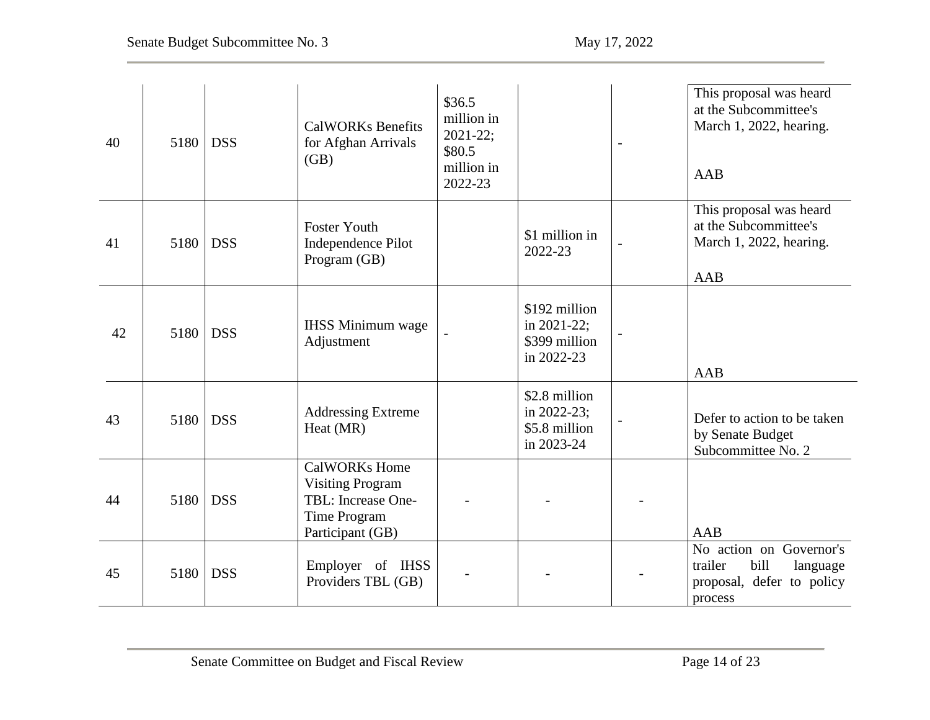| 40 | 5180 | <b>DSS</b> | <b>CalWORKs Benefits</b><br>for Afghan Arrivals<br>(GB)                                                   | \$36.5<br>million in<br>$2021 - 22$ ;<br>\$80.5<br>million in<br>2022-23 |                                                             | This proposal was heard<br>at the Subcommittee's<br>March 1, 2022, hearing.<br>AAB             |
|----|------|------------|-----------------------------------------------------------------------------------------------------------|--------------------------------------------------------------------------|-------------------------------------------------------------|------------------------------------------------------------------------------------------------|
| 41 | 5180 | <b>DSS</b> | <b>Foster Youth</b><br>Independence Pilot<br>Program (GB)                                                 |                                                                          | \$1 million in<br>2022-23                                   | This proposal was heard<br>at the Subcommittee's<br>March 1, 2022, hearing.<br>AAB             |
| 42 | 5180 | <b>DSS</b> | <b>IHSS Minimum wage</b><br>Adjustment                                                                    |                                                                          | \$192 million<br>in 2021-22;<br>\$399 million<br>in 2022-23 | AAB                                                                                            |
| 43 | 5180 | <b>DSS</b> | <b>Addressing Extreme</b><br>Heat (MR)                                                                    |                                                                          | \$2.8 million<br>in 2022-23;<br>\$5.8 million<br>in 2023-24 | Defer to action to be taken<br>by Senate Budget<br>Subcommittee No. 2                          |
| 44 | 5180 | <b>DSS</b> | <b>CalWORKs Home</b><br><b>Visiting Program</b><br>TBL: Increase One-<br>Time Program<br>Participant (GB) |                                                                          |                                                             | <b>AAB</b>                                                                                     |
| 45 | 5180 | <b>DSS</b> | Employer of IHSS<br>Providers TBL (GB)                                                                    |                                                                          |                                                             | No action on Governor's<br>trailer<br>bill<br>language<br>proposal, defer to policy<br>process |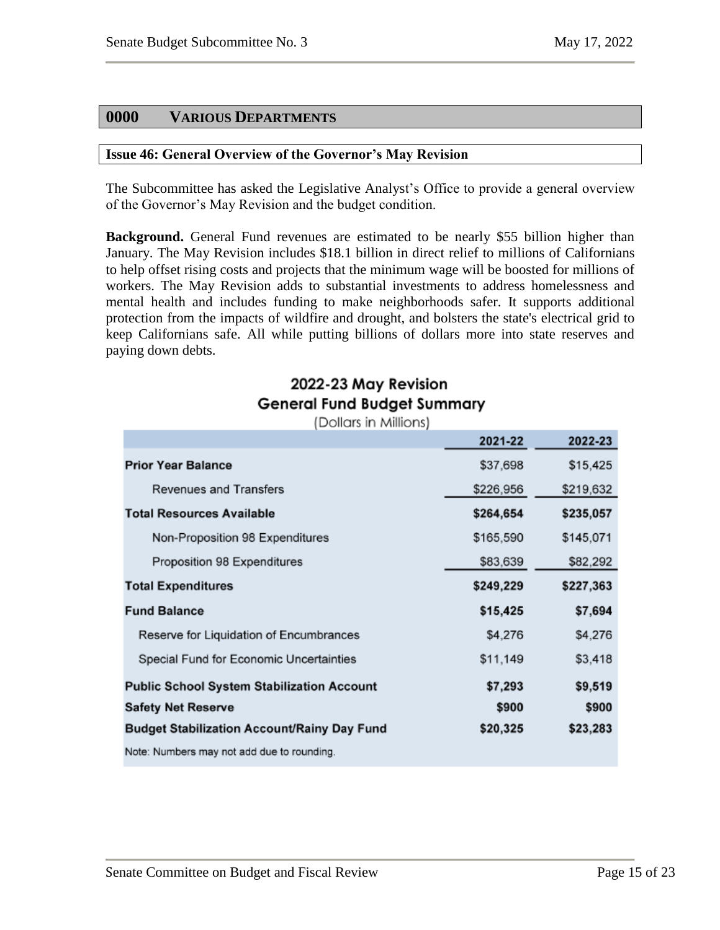# <span id="page-14-0"></span>**0000 VARIOUS DEPARTMENTS**

#### <span id="page-14-1"></span>**Issue 46: General Overview of the Governor's May Revision**

The Subcommittee has asked the Legislative Analyst's Office to provide a general overview of the Governor's May Revision and the budget condition.

**Background.** General Fund revenues are estimated to be nearly \$55 billion higher than January. The May Revision includes \$18.1 billion in direct relief to millions of Californians to help offset rising costs and projects that the minimum wage will be boosted for millions of workers. The May Revision adds to substantial investments to address homelessness and mental health and includes funding to make neighborhoods safer. It supports additional protection from the impacts of wildfire and drought, and bolsters the state's electrical grid to keep Californians safe. All while putting billions of dollars more into state reserves and paying down debts.

# 2022-23 May Revision General Fund Budget Summary

(Dollars in Millions)

|                                                    | 2021-22   | 2022-23   |
|----------------------------------------------------|-----------|-----------|
| <b>Prior Year Balance</b>                          | \$37,698  | \$15,425  |
| Revenues and Transfers                             | \$226,956 | \$219,632 |
| <b>Total Resources Available</b>                   | \$264,654 | \$235,057 |
| Non-Proposition 98 Expenditures                    | \$165,590 | \$145,071 |
| Proposition 98 Expenditures                        | \$83,639  | \$82,292  |
| <b>Total Expenditures</b>                          | \$249,229 | \$227,363 |
| <b>Fund Balance</b>                                | \$15,425  | \$7,694   |
| Reserve for Liquidation of Encumbrances            | \$4,276   | \$4,276   |
| Special Fund for Economic Uncertainties            | \$11,149  | \$3,418   |
| <b>Public School System Stabilization Account</b>  | \$7,293   | \$9,519   |
| <b>Safety Net Reserve</b>                          | \$900     | \$900     |
| <b>Budget Stabilization Account/Rainy Day Fund</b> | \$20,325  | \$23,283  |
| Note: Numbers may not add due to rounding.         |           |           |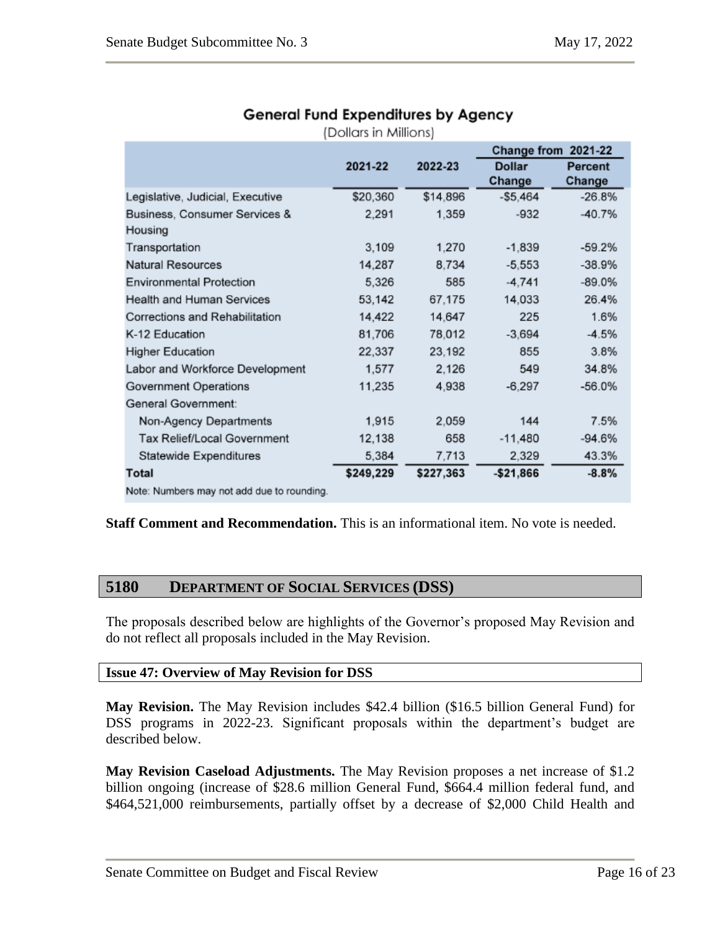| (Dollars in Millions)                      |           |           |                     |          |  |
|--------------------------------------------|-----------|-----------|---------------------|----------|--|
|                                            |           |           | Change from 2021-22 |          |  |
|                                            | 2021-22   | 2022-23   | <b>Dollar</b>       | Percent  |  |
|                                            |           |           | Change              | Change   |  |
| Legislative, Judicial, Executive           | \$20,360  | \$14,896  | $-$ \$5.464         | $-26.8%$ |  |
| Business, Consumer Services &              | 2,291     | 1,359     | $-932$              | $-40.7%$ |  |
| Housing                                    |           |           |                     |          |  |
| Transportation                             | 3,109     | 1,270     | $-1,839$            | $-59.2%$ |  |
| Natural Resources                          | 14,287    | 8.734     | $-5.553$            | $-38.9%$ |  |
| <b>Environmental Protection</b>            | 5,326     | 585       | $-4,741$            | $-89.0%$ |  |
| Health and Human Services                  | 53,142    | 67,175    | 14,033              | 26.4%    |  |
| Corrections and Rehabilitation             | 14,422    | 14,647    | 225                 | 1.6%     |  |
| K-12 Education                             | 81,706    | 78,012    | $-3,694$            | $-4.5%$  |  |
| <b>Higher Education</b>                    | 22,337    | 23,192    | 855                 | 3.8%     |  |
| Labor and Workforce Development            | 1,577     | 2,126     | 549                 | 34.8%    |  |
| Government Operations                      | 11,235    | 4,938     | $-6,297$            | $-56.0%$ |  |
| General Government:                        |           |           |                     |          |  |
| Non-Agency Departments                     | 1,915     | 2,059     | 144                 | 7.5%     |  |
| Tax Relief/Local Government                | 12,138    | 658       | $-11,480$           | $-94.6%$ |  |
| Statewide Expenditures                     | 5,384     | 7,713     | 2,329               | 43.3%    |  |
| Total                                      | \$249,229 | \$227,363 | $-$21,866$          | $-8.8%$  |  |
| Note: Numbers may not add due to rounding. |           |           |                     |          |  |

# General Fund Expenditures by Agency

**Staff Comment and Recommendation.** This is an informational item. No vote is needed.

#### <span id="page-15-0"></span>**5180 DEPARTMENT OF SOCIAL SERVICES (DSS)**

The proposals described below are highlights of the Governor's proposed May Revision and do not reflect all proposals included in the May Revision.

#### <span id="page-15-1"></span>**Issue 47: Overview of May Revision for DSS**

**May Revision.** The May Revision includes \$42.4 billion (\$16.5 billion General Fund) for DSS programs in 2022-23. Significant proposals within the department's budget are described below.

**May Revision Caseload Adjustments.** The May Revision proposes a net increase of \$1.2 billion ongoing (increase of \$28.6 million General Fund, \$664.4 million federal fund, and \$464,521,000 reimbursements, partially offset by a decrease of \$2,000 Child Health and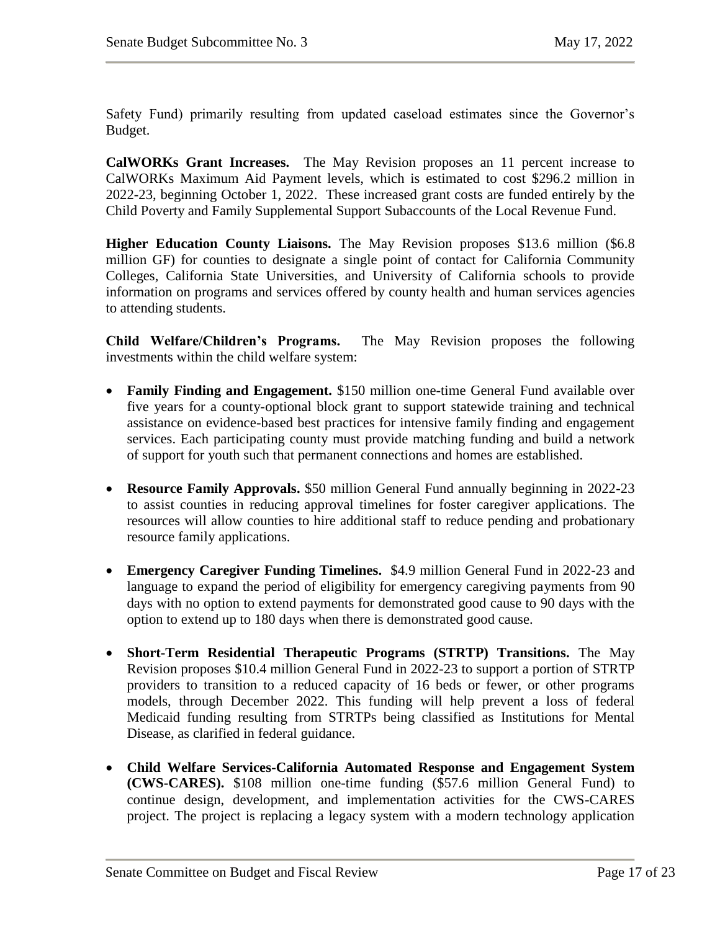Safety Fund) primarily resulting from updated caseload estimates since the Governor's Budget.

**CalWORKs Grant Increases.** The May Revision proposes an 11 percent increase to CalWORKs Maximum Aid Payment levels, which is estimated to cost \$296.2 million in 2022-23, beginning October 1, 2022. These increased grant costs are funded entirely by the Child Poverty and Family Supplemental Support Subaccounts of the Local Revenue Fund.

**Higher Education County Liaisons.** The May Revision proposes \$13.6 million (\$6.8) million GF) for counties to designate a single point of contact for California Community Colleges, California State Universities, and University of California schools to provide information on programs and services offered by county health and human services agencies to attending students.

**Child Welfare/Children's Programs.** The May Revision proposes the following investments within the child welfare system:

- **Family Finding and Engagement.** \$150 million one-time General Fund available over five years for a county-optional block grant to support statewide training and technical assistance on evidence-based best practices for intensive family finding and engagement services. Each participating county must provide matching funding and build a network of support for youth such that permanent connections and homes are established.
- **Resource Family Approvals.** \$50 million General Fund annually beginning in 2022-23 to assist counties in reducing approval timelines for foster caregiver applications. The resources will allow counties to hire additional staff to reduce pending and probationary resource family applications.
- **Emergency Caregiver Funding Timelines.** \$4.9 million General Fund in 2022-23 and language to expand the period of eligibility for emergency caregiving payments from 90 days with no option to extend payments for demonstrated good cause to 90 days with the option to extend up to 180 days when there is demonstrated good cause.
- **Short-Term Residential Therapeutic Programs (STRTP) Transitions.** The May Revision proposes \$10.4 million General Fund in 2022-23 to support a portion of STRTP providers to transition to a reduced capacity of 16 beds or fewer, or other programs models, through December 2022. This funding will help prevent a loss of federal Medicaid funding resulting from STRTPs being classified as Institutions for Mental Disease, as clarified in federal guidance.
- **Child Welfare Services-California Automated Response and Engagement System (CWS-CARES).** \$108 million one-time funding (\$57.6 million General Fund) to continue design, development, and implementation activities for the CWS-CARES project. The project is replacing a legacy system with a modern technology application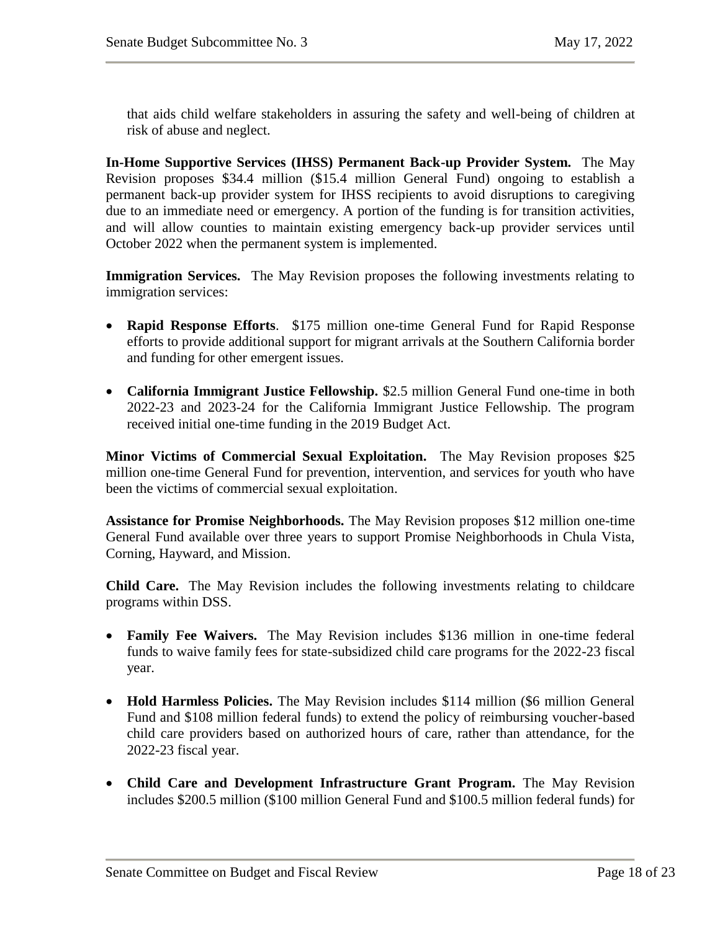that aids child welfare stakeholders in assuring the safety and well-being of children at risk of abuse and neglect.

**In-Home Supportive Services (IHSS) Permanent Back-up Provider System.** The May Revision proposes \$34.4 million (\$15.4 million General Fund) ongoing to establish a permanent back-up provider system for IHSS recipients to avoid disruptions to caregiving due to an immediate need or emergency. A portion of the funding is for transition activities, and will allow counties to maintain existing emergency back-up provider services until October 2022 when the permanent system is implemented.

**Immigration Services.** The May Revision proposes the following investments relating to immigration services:

- **Rapid Response Efforts**. \$175 million one-time General Fund for Rapid Response efforts to provide additional support for migrant arrivals at the Southern California border and funding for other emergent issues.
- **California Immigrant Justice Fellowship.** \$2.5 million General Fund one-time in both 2022-23 and 2023-24 for the California Immigrant Justice Fellowship. The program received initial one-time funding in the 2019 Budget Act.

**Minor Victims of Commercial Sexual Exploitation.** The May Revision proposes \$25 million one-time General Fund for prevention, intervention, and services for youth who have been the victims of commercial sexual exploitation.

**Assistance for Promise Neighborhoods.** The May Revision proposes \$12 million one-time General Fund available over three years to support Promise Neighborhoods in Chula Vista, Corning, Hayward, and Mission.

**Child Care.** The May Revision includes the following investments relating to childcare programs within DSS.

- **Family Fee Waivers.** The May Revision includes \$136 million in one-time federal funds to waive family fees for state-subsidized child care programs for the 2022-23 fiscal year.
- **Hold Harmless Policies.** The May Revision includes \$114 million (\$6 million General Fund and \$108 million federal funds) to extend the policy of reimbursing voucher-based child care providers based on authorized hours of care, rather than attendance, for the 2022-23 fiscal year.
- **Child Care and Development Infrastructure Grant Program.** The May Revision includes \$200.5 million (\$100 million General Fund and \$100.5 million federal funds) for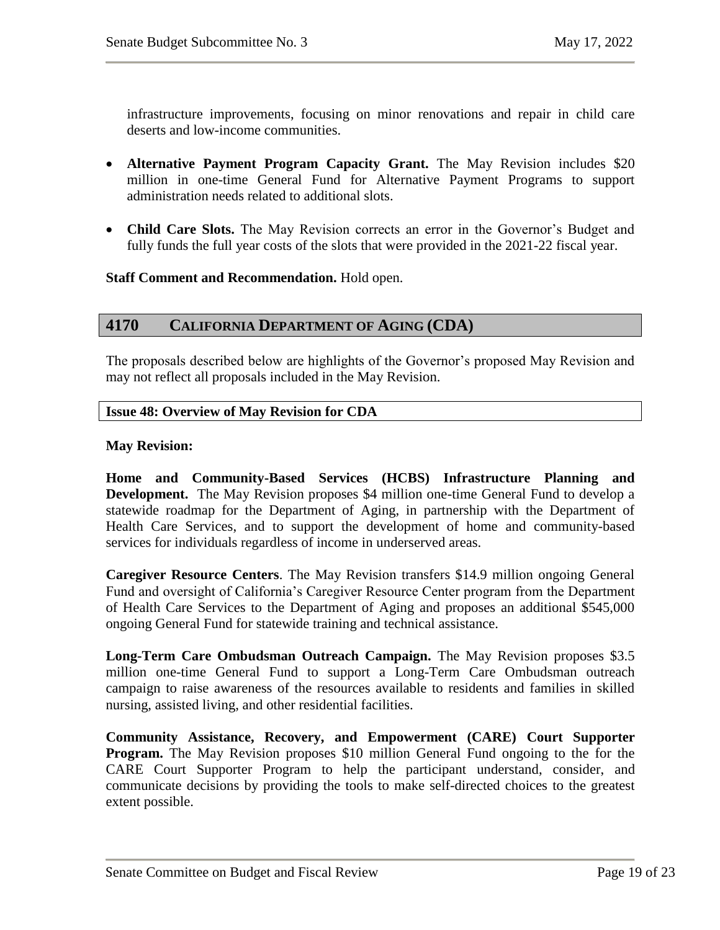infrastructure improvements, focusing on minor renovations and repair in child care deserts and low-income communities.

- **Alternative Payment Program Capacity Grant.** The May Revision includes \$20 million in one-time General Fund for Alternative Payment Programs to support administration needs related to additional slots.
- **Child Care Slots.** The May Revision corrects an error in the Governor's Budget and fully funds the full year costs of the slots that were provided in the 2021-22 fiscal year.

#### **Staff Comment and Recommendation.** Hold open.

# <span id="page-18-0"></span>**4170 CALIFORNIA DEPARTMENT OF AGING (CDA)**

The proposals described below are highlights of the Governor's proposed May Revision and may not reflect all proposals included in the May Revision.

#### <span id="page-18-1"></span>**Issue 48: Overview of May Revision for CDA**

#### **May Revision:**

**Home and Community-Based Services (HCBS) Infrastructure Planning and Development.** The May Revision proposes \$4 million one-time General Fund to develop a statewide roadmap for the Department of Aging, in partnership with the Department of Health Care Services, and to support the development of home and community-based services for individuals regardless of income in underserved areas.

**Caregiver Resource Centers**. The May Revision transfers \$14.9 million ongoing General Fund and oversight of California's Caregiver Resource Center program from the Department of Health Care Services to the Department of Aging and proposes an additional \$545,000 ongoing General Fund for statewide training and technical assistance.

**Long-Term Care Ombudsman Outreach Campaign.** The May Revision proposes \$3.5 million one-time General Fund to support a Long-Term Care Ombudsman outreach campaign to raise awareness of the resources available to residents and families in skilled nursing, assisted living, and other residential facilities.

**Community Assistance, Recovery, and Empowerment (CARE) Court Supporter Program.** The May Revision proposes \$10 million General Fund ongoing to the for the CARE Court Supporter Program to help the participant understand, consider, and communicate decisions by providing the tools to make self-directed choices to the greatest extent possible.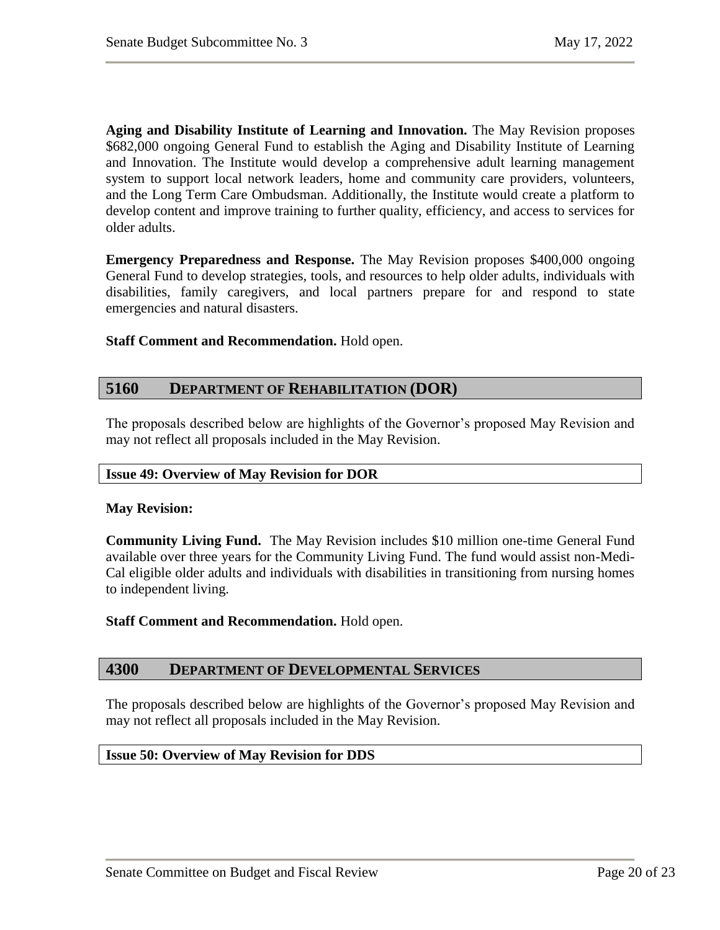**Aging and Disability Institute of Learning and Innovation.** The May Revision proposes \$682,000 ongoing General Fund to establish the Aging and Disability Institute of Learning and Innovation. The Institute would develop a comprehensive adult learning management system to support local network leaders, home and community care providers, volunteers, and the Long Term Care Ombudsman. Additionally, the Institute would create a platform to develop content and improve training to further quality, efficiency, and access to services for older adults.

**Emergency Preparedness and Response.** The May Revision proposes \$400,000 ongoing General Fund to develop strategies, tools, and resources to help older adults, individuals with disabilities, family caregivers, and local partners prepare for and respond to state emergencies and natural disasters.

**Staff Comment and Recommendation.** Hold open.

# <span id="page-19-0"></span>**5160 DEPARTMENT OF REHABILITATION (DOR)**

The proposals described below are highlights of the Governor's proposed May Revision and may not reflect all proposals included in the May Revision.

#### <span id="page-19-1"></span>**Issue 49: Overview of May Revision for DOR**

#### **May Revision:**

**Community Living Fund.** The May Revision includes \$10 million one-time General Fund available over three years for the Community Living Fund. The fund would assist non-Medi-Cal eligible older adults and individuals with disabilities in transitioning from nursing homes to independent living.

**Staff Comment and Recommendation.** Hold open.

#### <span id="page-19-2"></span>**4300 DEPARTMENT OF DEVELOPMENTAL SERVICES**

The proposals described below are highlights of the Governor's proposed May Revision and may not reflect all proposals included in the May Revision.

#### <span id="page-19-3"></span>**Issue 50: Overview of May Revision for DDS**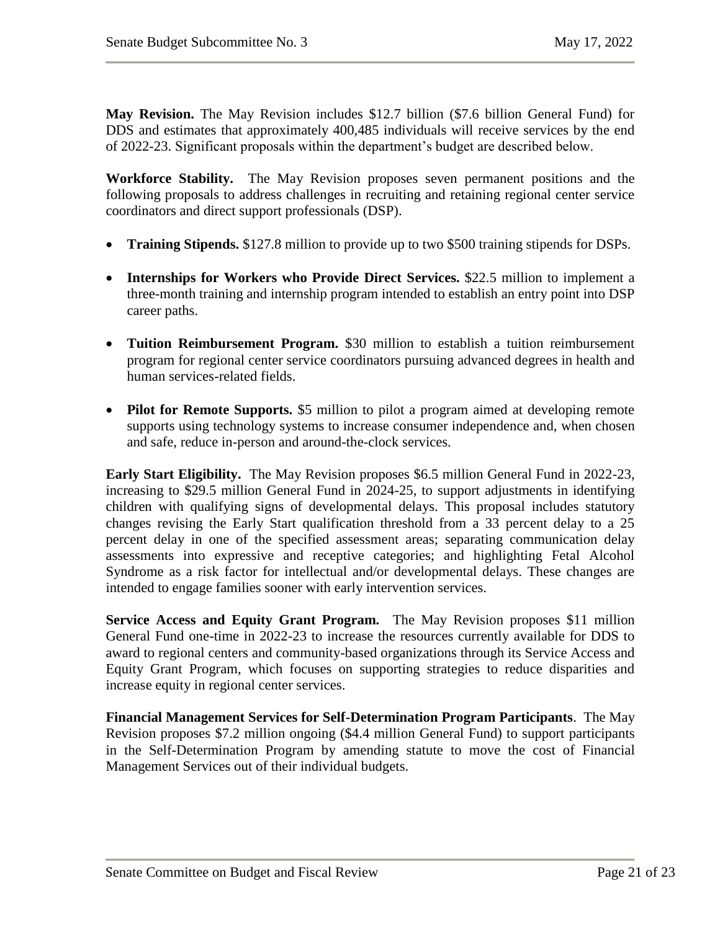**May Revision.** The May Revision includes \$12.7 billion (\$7.6 billion General Fund) for DDS and estimates that approximately 400,485 individuals will receive services by the end of 2022-23. Significant proposals within the department's budget are described below.

**Workforce Stability.** The May Revision proposes seven permanent positions and the following proposals to address challenges in recruiting and retaining regional center service coordinators and direct support professionals (DSP).

- **Training Stipends.** \$127.8 million to provide up to two \$500 training stipends for DSPs.
- **Internships for Workers who Provide Direct Services.** \$22.5 million to implement a three-month training and internship program intended to establish an entry point into DSP career paths.
- **Tuition Reimbursement Program.** \$30 million to establish a tuition reimbursement program for regional center service coordinators pursuing advanced degrees in health and human services-related fields.
- **Pilot for Remote Supports.** \$5 million to pilot a program aimed at developing remote supports using technology systems to increase consumer independence and, when chosen and safe, reduce in-person and around-the-clock services.

**Early Start Eligibility.** The May Revision proposes \$6.5 million General Fund in 2022-23, increasing to \$29.5 million General Fund in 2024-25, to support adjustments in identifying children with qualifying signs of developmental delays. This proposal includes statutory changes revising the Early Start qualification threshold from a 33 percent delay to a 25 percent delay in one of the specified assessment areas; separating communication delay assessments into expressive and receptive categories; and highlighting Fetal Alcohol Syndrome as a risk factor for intellectual and/or developmental delays. These changes are intended to engage families sooner with early intervention services.

**Service Access and Equity Grant Program.** The May Revision proposes \$11 million General Fund one-time in 2022-23 to increase the resources currently available for DDS to award to regional centers and community-based organizations through its Service Access and Equity Grant Program, which focuses on supporting strategies to reduce disparities and increase equity in regional center services.

**Financial Management Services for Self-Determination Program Participants**. The May Revision proposes \$7.2 million ongoing (\$4.4 million General Fund) to support participants in the Self-Determination Program by amending statute to move the cost of Financial Management Services out of their individual budgets.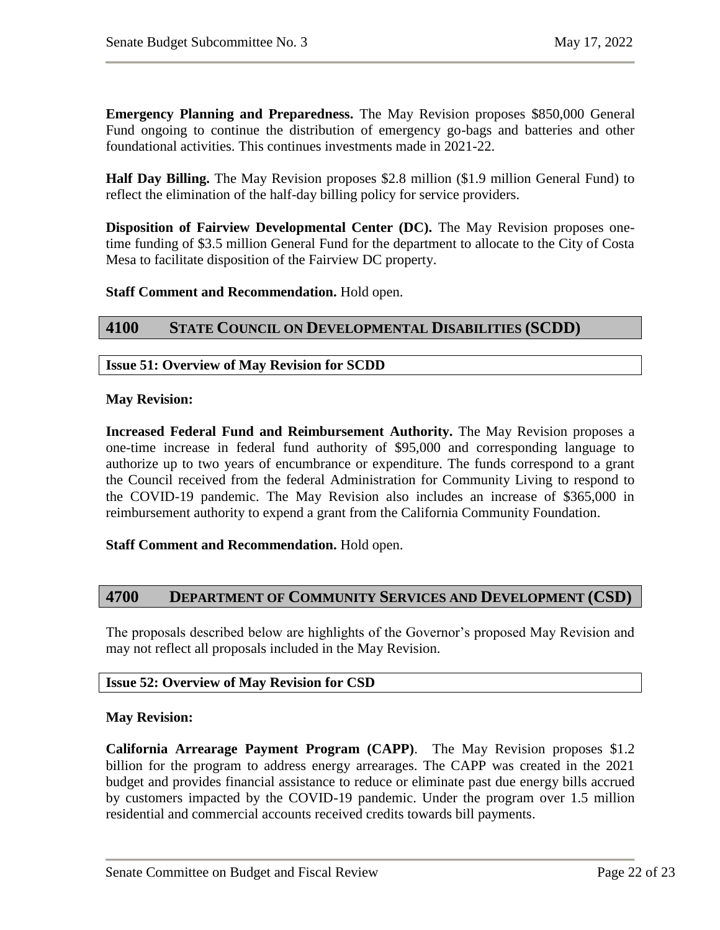**Emergency Planning and Preparedness.** The May Revision proposes \$850,000 General Fund ongoing to continue the distribution of emergency go-bags and batteries and other foundational activities. This continues investments made in 2021-22.

**Half Day Billing.** The May Revision proposes \$2.8 million (\$1.9 million General Fund) to reflect the elimination of the half-day billing policy for service providers.

**Disposition of Fairview Developmental Center (DC).** The May Revision proposes onetime funding of \$3.5 million General Fund for the department to allocate to the City of Costa Mesa to facilitate disposition of the Fairview DC property.

#### **Staff Comment and Recommendation.** Hold open.

# <span id="page-21-0"></span>**4100 STATE COUNCIL ON DEVELOPMENTAL DISABILITIES (SCDD)**

#### <span id="page-21-1"></span>**Issue 51: Overview of May Revision for SCDD**

#### **May Revision:**

**Increased Federal Fund and Reimbursement Authority.** The May Revision proposes a one-time increase in federal fund authority of \$95,000 and corresponding language to authorize up to two years of encumbrance or expenditure. The funds correspond to a grant the Council received from the federal Administration for Community Living to respond to the COVID-19 pandemic. The May Revision also includes an increase of \$365,000 in reimbursement authority to expend a grant from the California Community Foundation.

#### **Staff Comment and Recommendation.** Hold open.

# <span id="page-21-2"></span>**4700 DEPARTMENT OF COMMUNITY SERVICES AND DEVELOPMENT (CSD)**

The proposals described below are highlights of the Governor's proposed May Revision and may not reflect all proposals included in the May Revision.

#### <span id="page-21-3"></span>**Issue 52: Overview of May Revision for CSD**

#### **May Revision:**

**California Arrearage Payment Program (CAPP)**. The May Revision proposes \$1.2 billion for the program to address energy arrearages. The CAPP was created in the 2021 budget and provides financial assistance to reduce or eliminate past due energy bills accrued by customers impacted by the COVID-19 pandemic. Under the program over 1.5 million residential and commercial accounts received credits towards bill payments.